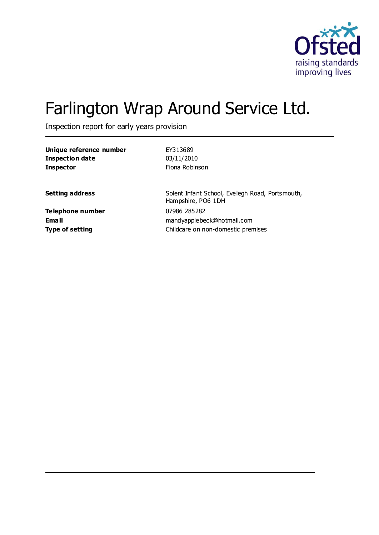

# Farlington Wrap Around Service Ltd.

Inspection report for early years provision

| EY313689                                                              |
|-----------------------------------------------------------------------|
| 03/11/2010                                                            |
| Fiona Robinson                                                        |
| Solent Infant School, Evelegh Road, Portsmouth,<br>Hampshire, PO6 1DH |
| 07986 285282<br>mandyapplebeck@hotmail.com                            |
| Childcare on non-domestic premises                                    |
|                                                                       |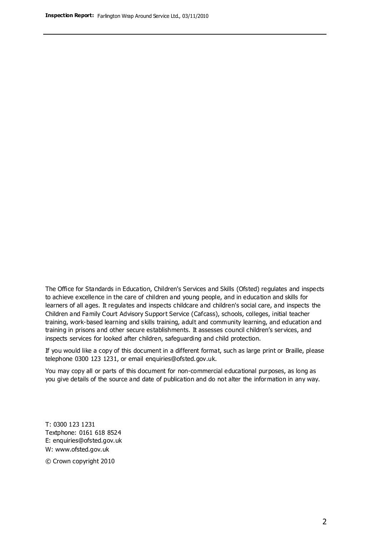The Office for Standards in Education, Children's Services and Skills (Ofsted) regulates and inspects to achieve excellence in the care of children and young people, and in education and skills for learners of all ages. It regulates and inspects childcare and children's social care, and inspects the Children and Family Court Advisory Support Service (Cafcass), schools, colleges, initial teacher training, work-based learning and skills training, adult and community learning, and education and training in prisons and other secure establishments. It assesses council children's services, and inspects services for looked after children, safeguarding and child protection.

If you would like a copy of this document in a different format, such as large print or Braille, please telephone 0300 123 1231, or email enquiries@ofsted.gov.uk.

You may copy all or parts of this document for non-commercial educational purposes, as long as you give details of the source and date of publication and do not alter the information in any way.

T: 0300 123 1231 Textphone: 0161 618 8524 E: enquiries@ofsted.gov.uk W: [www.ofsted.gov.uk](http://www.ofsted.gov.uk/)

© Crown copyright 2010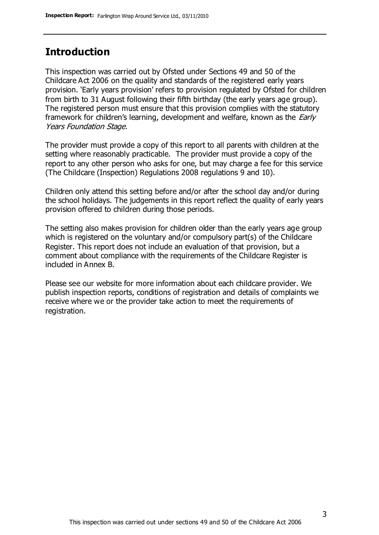#### **Introduction**

This inspection was carried out by Ofsted under Sections 49 and 50 of the Childcare Act 2006 on the quality and standards of the registered early years provision. 'Early years provision' refers to provision regulated by Ofsted for children from birth to 31 August following their fifth birthday (the early years age group). The registered person must ensure that this provision complies with the statutory framework for children's learning, development and welfare, known as the *Early* Years Foundation Stage.

The provider must provide a copy of this report to all parents with children at the setting where reasonably practicable. The provider must provide a copy of the report to any other person who asks for one, but may charge a fee for this service (The Childcare (Inspection) Regulations 2008 regulations 9 and 10).

Children only attend this setting before and/or after the school day and/or during the school holidays. The judgements in this report reflect the quality of early years provision offered to children during those periods.

The setting also makes provision for children older than the early years age group which is registered on the voluntary and/or compulsory part(s) of the Childcare Register. This report does not include an evaluation of that provision, but a comment about compliance with the requirements of the Childcare Register is included in Annex B.

Please see our website for more information about each childcare provider. We publish inspection reports, conditions of registration and details of complaints we receive where we or the provider take action to meet the requirements of registration.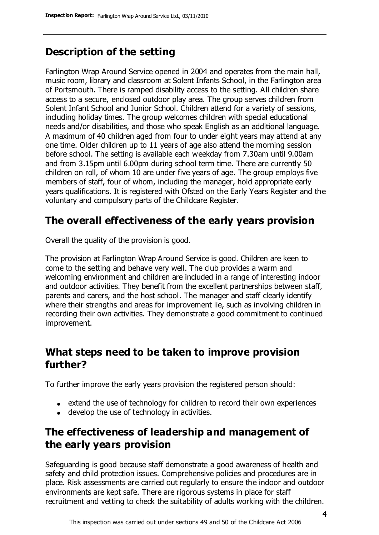# **Description of the setting**

Farlington Wrap Around Service opened in 2004 and operates from the main hall, music room, library and classroom at Solent Infants School, in the Farlington area of Portsmouth. There is ramped disability access to the setting. All children share access to a secure, enclosed outdoor play area. The group serves children from Solent Infant School and Junior School. Children attend for a variety of sessions, including holiday times. The group welcomes children with special educational needs and/or disabilities, and those who speak English as an additional language. A maximum of 40 children aged from four to under eight years may attend at any one time. Older children up to 11 years of age also attend the morning session before school. The setting is available each weekday from 7.30am until 9.00am and from 3.15pm until 6.00pm during school term time. There are currently 50 children on roll, of whom 10 are under five years of age. The group employs five members of staff, four of whom, including the manager, hold appropriate early years qualifications. It is registered with Ofsted on the Early Years Register and the voluntary and compulsory parts of the Childcare Register.

# **The overall effectiveness of the early years provision**

Overall the quality of the provision is good.

The provision at Farlington Wrap Around Service is good. Children are keen to come to the setting and behave very well. The club provides a warm and welcoming environment and children are included in a range of interesting indoor and outdoor activities. They benefit from the excellent partnerships between staff, parents and carers, and the host school. The manager and staff clearly identify where their strengths and areas for improvement lie, such as involving children in recording their own activities. They demonstrate a good commitment to continued improvement.

#### **What steps need to be taken to improve provision further?**

To further improve the early years provision the registered person should:

- extend the use of technology for children to record their own experiences
- develop the use of technology in activities.

# **The effectiveness of leadership and management of the early years provision**

Safeguarding is good because staff demonstrate a good awareness of health and safety and child protection issues. Comprehensive policies and procedures are in place. Risk assessments are carried out regularly to ensure the indoor and outdoor environments are kept safe. There are rigorous systems in place for staff recruitment and vetting to check the suitability of adults working with the children.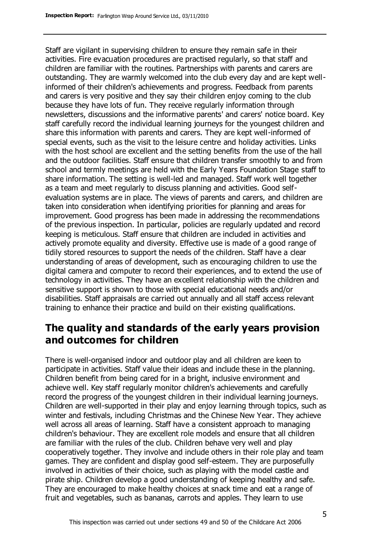Staff are vigilant in supervising children to ensure they remain safe in their activities. Fire evacuation procedures are practised regularly, so that staff and children are familiar with the routines. Partnerships with parents and carers are outstanding. They are warmly welcomed into the club every day and are kept wellinformed of their children's achievements and progress. Feedback from parents and carers is very positive and they say their children enjoy coming to the club because they have lots of fun. They receive regularly information through newsletters, discussions and the informative parents' and carers' notice board. Key staff carefully record the individual learning journeys for the youngest children and share this information with parents and carers. They are kept well-informed of special events, such as the visit to the leisure centre and holiday activities. Links with the host school are excellent and the setting benefits from the use of the hall and the outdoor facilities. Staff ensure that children transfer smoothly to and from school and termly meetings are held with the Early Years Foundation Stage staff to share information. The setting is well-led and managed. Staff work well together as a team and meet regularly to discuss planning and activities. Good selfevaluation systems are in place. The views of parents and carers, and children are taken into consideration when identifying priorities for planning and areas for improvement. Good progress has been made in addressing the recommendations of the previous inspection. In particular, policies are regularly updated and record keeping is meticulous. Staff ensure that children are included in activities and actively promote equality and diversity. Effective use is made of a good range of tidily stored resources to support the needs of the children. Staff have a clear understanding of areas of development, such as encouraging children to use the digital camera and computer to record their experiences, and to extend the use of technology in activities. They have an excellent relationship with the children and sensitive support is shown to those with special educational needs and/or disabilities. Staff appraisals are carried out annually and all staff access relevant training to enhance their practice and build on their existing qualifications.

#### **The quality and standards of the early years provision and outcomes for children**

There is well-organised indoor and outdoor play and all children are keen to participate in activities. Staff value their ideas and include these in the planning. Children benefit from being cared for in a bright, inclusive environment and achieve well. Key staff regularly monitor children's achievements and carefully record the progress of the youngest children in their individual learning journeys. Children are well-supported in their play and enjoy learning through topics, such as winter and festivals, including Christmas and the Chinese New Year. They achieve well across all areas of learning. Staff have a consistent approach to managing children's behaviour. They are excellent role models and ensure that all children are familiar with the rules of the club. Children behave very well and play cooperatively together. They involve and include others in their role play and team games. They are confident and display good self-esteem. They are purposefully involved in activities of their choice, such as playing with the model castle and pirate ship. Children develop a good understanding of keeping healthy and safe. They are encouraged to make healthy choices at snack time and eat a range of fruit and vegetables, such as bananas, carrots and apples. They learn to use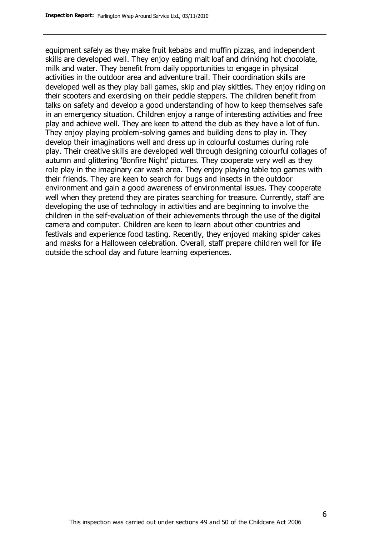equipment safely as they make fruit kebabs and muffin pizzas, and independent skills are developed well. They enjoy eating malt loaf and drinking hot chocolate, milk and water. They benefit from daily opportunities to engage in physical activities in the outdoor area and adventure trail. Their coordination skills are developed well as they play ball games, skip and play skittles. They enjoy riding on their scooters and exercising on their peddle steppers. The children benefit from talks on safety and develop a good understanding of how to keep themselves safe in an emergency situation. Children enjoy a range of interesting activities and free play and achieve well. They are keen to attend the club as they have a lot of fun. They enjoy playing problem-solving games and building dens to play in. They develop their imaginations well and dress up in colourful costumes during role play. Their creative skills are developed well through designing colourful collages of autumn and glittering 'Bonfire Night' pictures. They cooperate very well as they role play in the imaginary car wash area. They enjoy playing table top games with their friends. They are keen to search for bugs and insects in the outdoor environment and gain a good awareness of environmental issues. They cooperate well when they pretend they are pirates searching for treasure. Currently, staff are developing the use of technology in activities and are beginning to involve the children in the self-evaluation of their achievements through the use of the digital camera and computer. Children are keen to learn about other countries and festivals and experience food tasting. Recently, they enjoyed making spider cakes and masks for a Halloween celebration. Overall, staff prepare children well for life outside the school day and future learning experiences.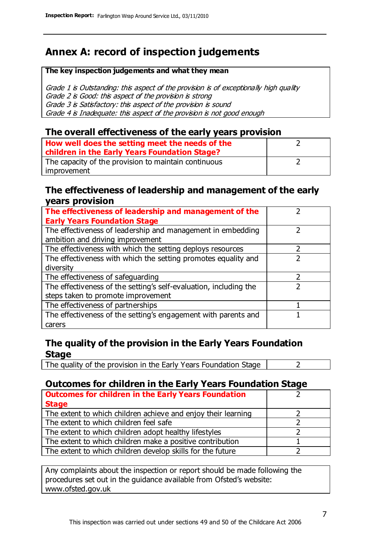# **Annex A: record of inspection judgements**

#### **The key inspection judgements and what they mean**

Grade 1 is Outstanding: this aspect of the provision is of exceptionally high quality Grade 2 is Good: this aspect of the provision is strong Grade 3 is Satisfactory: this aspect of the provision is sound Grade 4 is Inadequate: this aspect of the provision is not good enough

#### **The overall effectiveness of the early years provision**

| How well does the setting meet the needs of the<br>children in the Early Years Foundation Stage? |  |
|--------------------------------------------------------------------------------------------------|--|
| The capacity of the provision to maintain continuous                                             |  |
| improvement                                                                                      |  |

#### **The effectiveness of leadership and management of the early years provision**

| The effectiveness of leadership and management of the                                           |               |
|-------------------------------------------------------------------------------------------------|---------------|
| <b>Early Years Foundation Stage</b>                                                             |               |
| The effectiveness of leadership and management in embedding<br>ambition and driving improvement |               |
|                                                                                                 |               |
| The effectiveness with which the setting deploys resources                                      |               |
| The effectiveness with which the setting promotes equality and                                  |               |
| diversity                                                                                       |               |
| The effectiveness of safeguarding                                                               | $\mathcal{P}$ |
| The effectiveness of the setting's self-evaluation, including the                               |               |
| steps taken to promote improvement                                                              |               |
| The effectiveness of partnerships                                                               |               |
| The effectiveness of the setting's engagement with parents and                                  |               |
| carers                                                                                          |               |

#### **The quality of the provision in the Early Years Foundation Stage**

The quality of the provision in the Early Years Foundation Stage  $\vert$  2

#### **Outcomes for children in the Early Years Foundation Stage**

| <b>Outcomes for children in the Early Years Foundation</b>    |  |
|---------------------------------------------------------------|--|
| <b>Stage</b>                                                  |  |
| The extent to which children achieve and enjoy their learning |  |
| The extent to which children feel safe                        |  |
| The extent to which children adopt healthy lifestyles         |  |
| The extent to which children make a positive contribution     |  |
| The extent to which children develop skills for the future    |  |

Any complaints about the inspection or report should be made following the procedures set out in the guidance available from Ofsted's website: www.ofsted.gov.uk